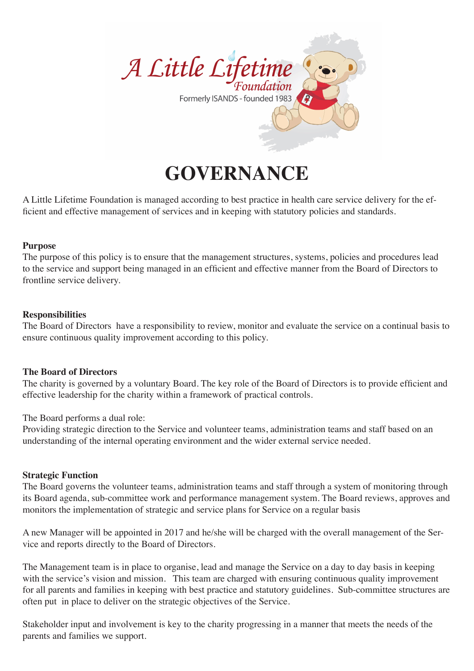

# **GOVERNANCE**

A Little Lifetime Foundation is managed according to best practice in health care service delivery for the efficient and effective management of services and in keeping with statutory policies and standards.

## **Purpose**

The purpose of this policy is to ensure that the management structures, systems, policies and procedures lead to the service and support being managed in an efficient and effective manner from the Board of Directors to frontline service delivery.

## **Responsibilities**

The Board of Directors have a responsibility to review, monitor and evaluate the service on a continual basis to ensure continuous quality improvement according to this policy.

#### **The Board of Directors**

The charity is governed by a voluntary Board. The key role of the Board of Directors is to provide efficient and effective leadership for the charity within a framework of practical controls.

The Board performs a dual role:

Providing strategic direction to the Service and volunteer teams, administration teams and staff based on an understanding of the internal operating environment and the wider external service needed.

#### **Strategic Function**

The Board governs the volunteer teams, administration teams and staff through a system of monitoring through its Board agenda, sub-committee work and performance management system. The Board reviews, approves and monitors the implementation of strategic and service plans for Service on a regular basis

A new Manager will be appointed in 2017 and he/she will be charged with the overall management of the Service and reports directly to the Board of Directors.

The Management team is in place to organise, lead and manage the Service on a day to day basis in keeping with the service's vision and mission. This team are charged with ensuring continuous quality improvement for all parents and families in keeping with best practice and statutory guidelines. Sub-committee structures are often put in place to deliver on the strategic objectives of the Service.

Stakeholder input and involvement is key to the charity progressing in a manner that meets the needs of the parents and families we support.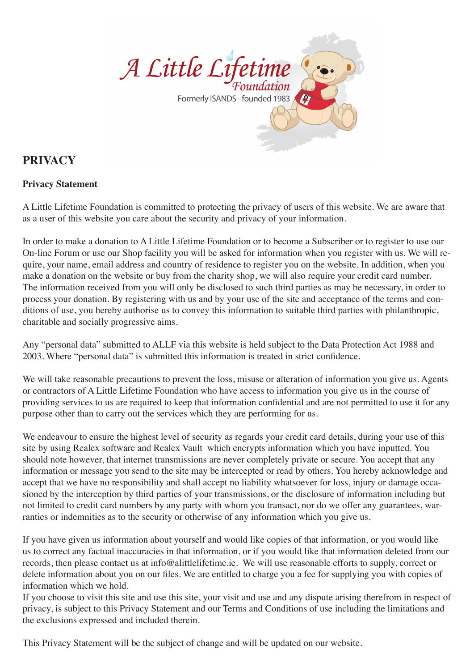

# **PRIVACY**

## **Privacy Statement**

A Little Lifetime Foundation is committed to protecting the privacy of users of this website. We are aware that as a user of this website you care about the security and privacy of your information.

In order to make a donation to A Little Lifetime Foundation or to become a Subscriber or to register to use our On-line Forum or use our Shop facility you will be asked for information when you register with us. We will require, your name, email address and country of residence to register you on the website. In addition, when you make a donation on the website or buy from the charity shop, we will also require your credit card number. The information received from you will only be disclosed to such third parties as may be necessary, in order to process your donation. By registering with us and by your use of the site and acceptance of the terms and conditions of use, you hereby authorise us to convey this information to suitable third parties with philanthropic, charitable and socially progressive aims.

Any "personal data" submitted to ALLF via this website is held subject to the Data Protection Act 1988 and 2003. Where "personal data" is submitted this information is treated in strict confidence.

We will take reasonable precautions to prevent the loss, misuse or alteration of information you give us. Agents or contractors of A Little Lifetime Foundation who have access to information you give us in the course of providing services to us are required to keep that information confidential and are not permitted to use it for any purpose other than to carry out the services which they are performing for us.

We endeavour to ensure the highest level of security as regards your credit card details, during your use of this site by using Realex software and Realex Vault which encrypts information which you have inputted. You should note however, that internet transmissions are never completely private or secure. You accept that any information or message you send to the site may be intercepted or read by others. You hereby acknowledge and accept that we have no responsibility and shall accept no liability whatsoever for loss, injury or damage occasioned by the interception by third parties of your transmissions, or the disclosure of information including but not limited to credit card numbers by any party with whom you transact, nor do we offer any guarantees, warranties or indemnities as to the security or otherwise of any information which you give us.

If you have given us information about yourself and would like copies of that information, or you would like us to correct any factual inaccuracies in that information, or if you would like that information deleted from our records, then please contact us at info@alittlelifetime.ie. We will use reasonable efforts to supply, correct or delete information about you on our files. We are entitled to charge you a fee for supplying you with copies of information which we hold.

If you choose to visit this site and use this site, your visit and use and any dispute arising therefrom in respect of privacy, is subject to this Privacy Statement and our Terms and Conditions of use including the limitations and the exclusions expressed and included therein.

This Privacy Statement will be the subject of change and will be updated on our website.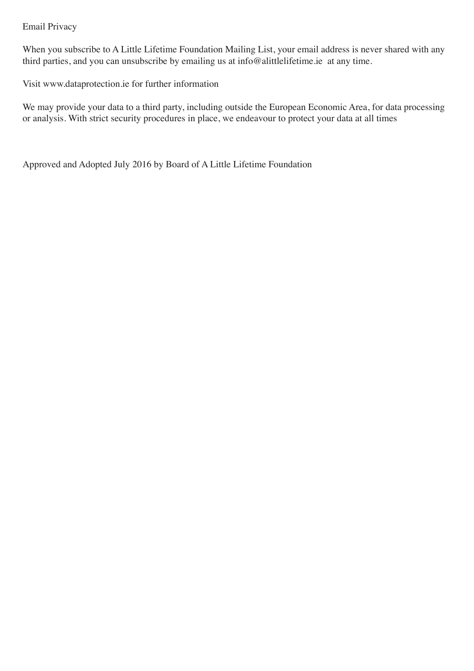## Email Privacy

When you subscribe to A Little Lifetime Foundation Mailing List, your email address is never shared with any third parties, and you can unsubscribe by emailing us at info@alittlelifetime.ie at any time.

Visit www.dataprotection.ie for further information

We may provide your data to a third party, including outside the European Economic Area, for data processing or analysis. With strict security procedures in place, we endeavour to protect your data at all times

Approved and Adopted July 2016 by Board of A Little Lifetime Foundation